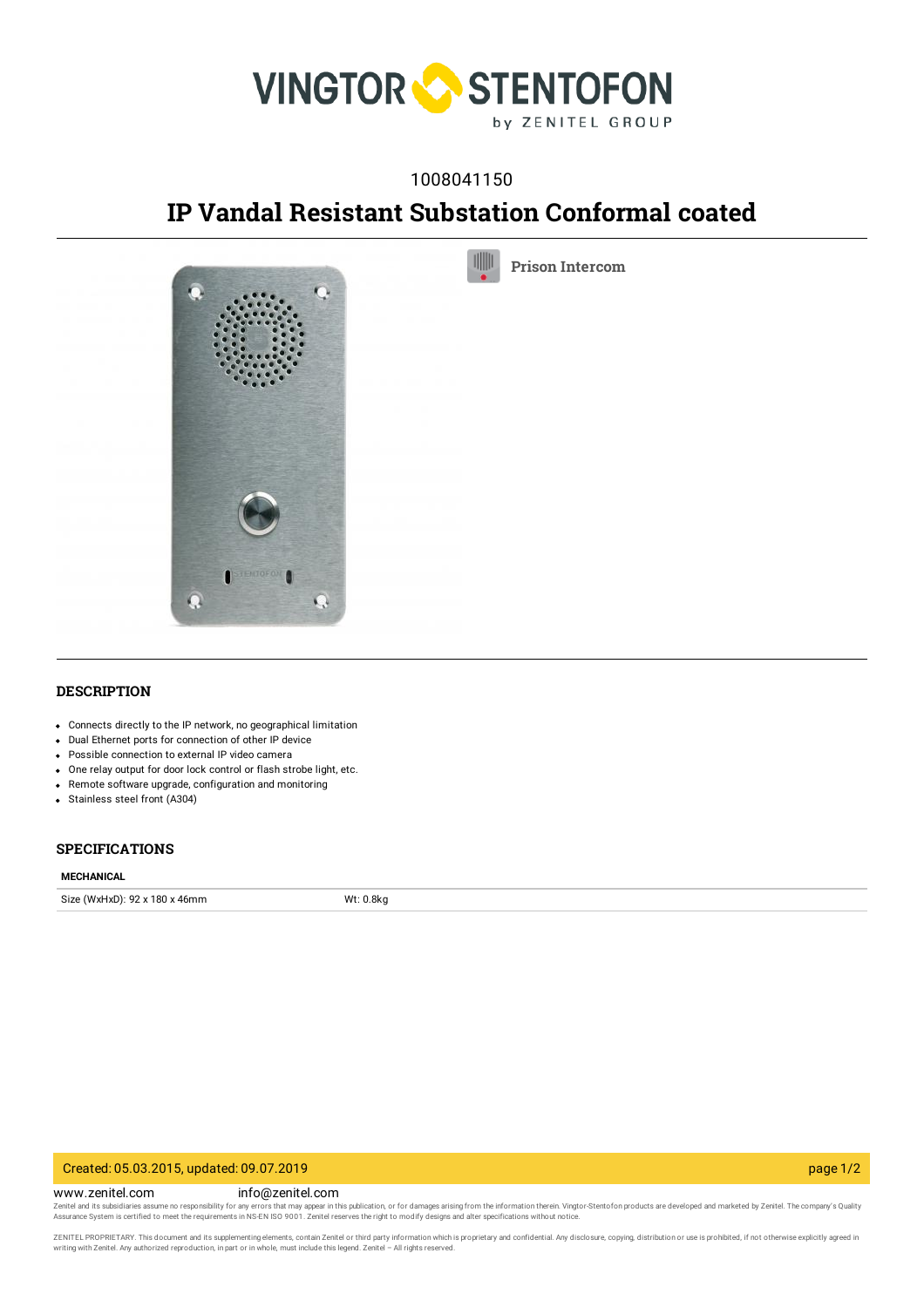

# 1008041150

# **IP Vandal Resistant Substation Conformal coated**

UIIIL

**Prison [Intercom](https://www.zenitel.com/technology/products-market/prison-intercom)**



**DESCRIPTION**

- Connects directly to the IP network, no geographical limitation
- Dual Ethernet ports for connection of other IP device
- Possible connection to external IP video camera
- One relay output for door lock control or flash strobe light, etc.
- Remote software upgrade, configuration and monitoring
- Stainless steel front (A304)

#### **SPECIFICATIONS**

#### **MECHANICAL**

Size (WxHxD): 92 x 180 x 46mm Wt: 0.8kg

## Created: 05.03.2015, updated: 09.07.2019 page 1/2

www.zenitel.com info@zenitel.com

Zenitel and its subsidiaries assume no responsibility for any errors that may appear in this publication, or for damages arising from the information therein. Vingtor-Stentofon products are developed and marketed by Zenite

ZENITEL PROPRIETARY. This document and its supplementing elements, contain Zenitel or third party information which is proprietary and confidential. Any disclosure, copying, distribution or use is prohibited, if not otherw